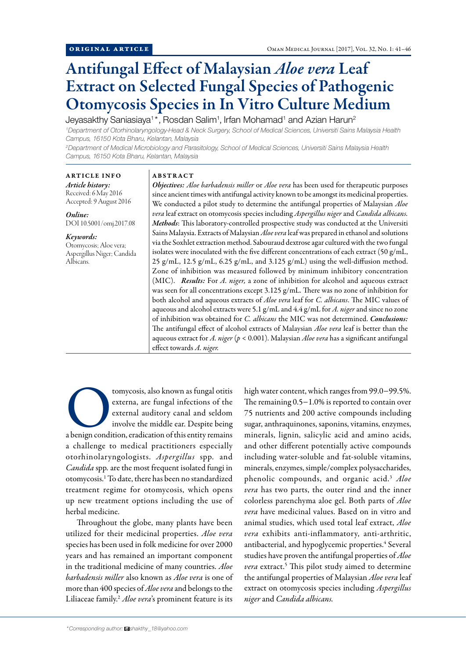# Antifungal Effect of Malaysian *Aloe vera* Leaf Extract on Selected Fungal Species of Pathogenic Otomycosis Species in In Vitro Culture Medium

Jeyasakthy Saniasiaya<sup>1\*</sup>, Rosdan Salim<sup>1</sup>, Irfan Mohamad<sup>1</sup> and Azian Harun<sup>2</sup>

*1 Department of Otorhinolaryngology-Head & Neck Surgery, School of Medical Sciences, Universiti Sains Malaysia Health Campus, 16150 Kota Bharu, Kelantan, Malaysia*

*2 Department of Medical Microbiology and Parasitology, School of Medical Sciences, Universiti Sains Malaysia Health Campus, 16150 Kota Bharu, Kelantan, Malaysia*

## ARTICLE INFO

*Article history:* Received: 6 May 2016 Accepted: 9 August 2016

*Online:* DOI 10.5001/omj.2017.08

## *Keywords:*

Otomycosis; Aloe vera; Aspergillus Niger; Candida Albicans.

## ABSTRACT

*Objectives: Aloe barbadensis miller* or *Aloe vera* has been used for therapeutic purposes since ancient times with antifungal activity known to be amongst its medicinal properties. We conducted a pilot study to determine the antifungal properties of Malaysian *Aloe vera* leaf extract on otomycosis species including *Aspergillus niger* and *Candida albicans. Methods*: This laboratory-controlled prospective study was conducted at the Universiti Sains Malaysia. Extracts of Malaysian *Aloe vera* leaf was prepared in ethanol and solutions via the Soxhlet extraction method. Sabouraud dextrose agar cultured with the two fungal isolates were inoculated with the five different concentrations of each extract (50 g/mL, 25 g/mL, 12.5 g/mL, 6.25 g/mL, and 3.125 g/mL) using the well-diffusion method. Zone of inhibition was measured followed by minimum inhibitory concentration (MIC). *Results:* For *A. niger,* a zone of inhibition for alcohol and aqueous extract was seen for all concentrations except 3.125 g/mL. There was no zone of inhibition for both alcohol and aqueous extracts of *Aloe vera* leaf for *C. albicans*. The MIC values of aqueous and alcohol extracts were 5.1 g/mL and 4.4 g/mL for *A. niger* and since no zone of inhibition was obtained for *C. albicans* the MIC was not determined. *Conclusions:* The antifungal effect of alcohol extracts of Malaysian *Aloe vera* leaf is better than the aqueous extract for *A. niger* (*p* < 0.001). Malaysian *Aloe vera* has a significant antifungal effect towards *A. niger.*

tomycosis, also known as fungal otitis<br>
externa, are fungal infections of the<br>
external auditory canal and seldom<br>
involve the middle ear. Despite being<br>
a benign condition, eradication of this entity remains externa, are fungal infections of the external auditory canal and seldom involve the middle ear. Despite being a challenge to medical practitioners especially otorhinolaryngologists. *Aspergillus* spp*.* and *Candida* spp*.* are the most frequent isolated fungi in otomycosis.1 To date, there has been no standardized treatment regime for otomycosis, which opens up new treatment options including the use of herbal medicine.

Throughout the globe, many plants have been utilized for their medicinal properties. *Aloe vera* species has been used in folk medicine for over 2000 years and has remained an important component in the traditional medicine of many countries. *Aloe barbadensis miller* also known as *Aloe vera* is one of more than 400 species of *Aloe vera* and belongs to the Liliaceae family.2 *Aloe vera*'s prominent feature is its high water content, which ranges from 99.0−99.5%. The remaining 0.5−1.0% is reported to contain over 75 nutrients and 200 active compounds including sugar, anthraquinones, saponins, vitamins, enzymes, minerals, lignin, salicylic acid and amino acids, and other different potentially active compounds including water-soluble and fat-soluble vitamins, minerals, enzymes, simple/complex polysaccharides, phenolic compounds, and organic acid.3 *Aloe vera* has two parts, the outer rind and the inner colorless parenchyma aloe gel. Both parts of *Aloe vera* have medicinal values. Based on in vitro and animal studies, which used total leaf extract, *Aloe vera* exhibits anti-inflammatory, anti-arthritic, antibacterial, and hypoglycemic properties.<sup>4</sup> Several studies have proven the antifungal properties of *Aloe vera* extract.5 This pilot study aimed to determine the antifungal properties of Malaysian *Aloe vera* leaf extract on otomycosis species including *Aspergillus niger* and *Candida albicans.*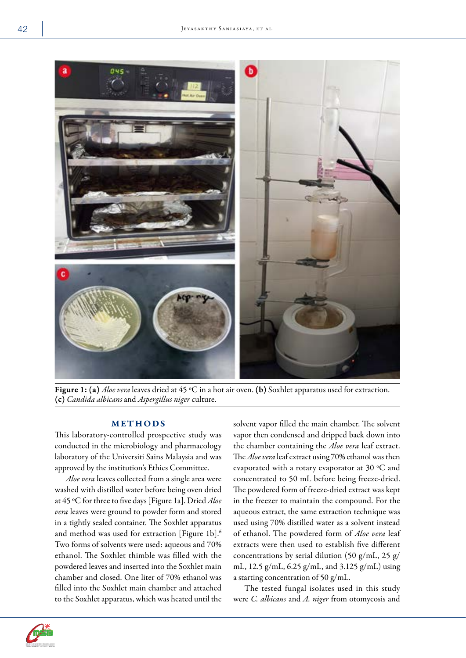

Figure 1: (a) *Aloe vera* leaves dried at 45 °C in a hot air oven. (b) Soxhlet apparatus used for extraction. (c) *Candida albicans*and *Aspergillus niger* culture.

# METHODS

This laboratory-controlled prospective study was conducted in the microbiology and pharmacology laboratory of the Universiti Sains Malaysia and was approved by the institution's Ethics Committee.

*Aloe vera* leaves collected from a single area were washed with distilled water before being oven dried at 45 ºC for three to five days [Figure 1a]. Dried *Aloe vera* leaves were ground to powder form and stored in a tightly sealed container. The Soxhlet apparatus and method was used for extraction [Figure 1b].<sup>6</sup> Two forms of solvents were used: aqueous and 70% ethanol. The Soxhlet thimble was filled with the powdered leaves and inserted into the Soxhlet main chamber and closed. One liter of 70% ethanol was filled into the Soxhlet main chamber and attached to the Soxhlet apparatus, which was heated until the solvent vapor filled the main chamber. The solvent vapor then condensed and dripped back down into the chamber containing the *Aloe vera* leaf extract. The *Aloe vera* leaf extract using 70% ethanol was then evaporated with a rotary evaporator at 30  $^{\circ}$ C and concentrated to 50 mL before being freeze-dried. The powdered form of freeze-dried extract was kept in the freezer to maintain the compound. For the aqueous extract, the same extraction technique was used using 70% distilled water as a solvent instead of ethanol. The powdered form of *Aloe vera* leaf extracts were then used to establish five different concentrations by serial dilution (50 g/mL, 25 g/ mL, 12.5 g/mL, 6.25 g/mL, and 3.125 g/mL) using a starting concentration of 50 g/mL.

The tested fungal isolates used in this study were *C. albicans* and *A. niger* from otomycosis and

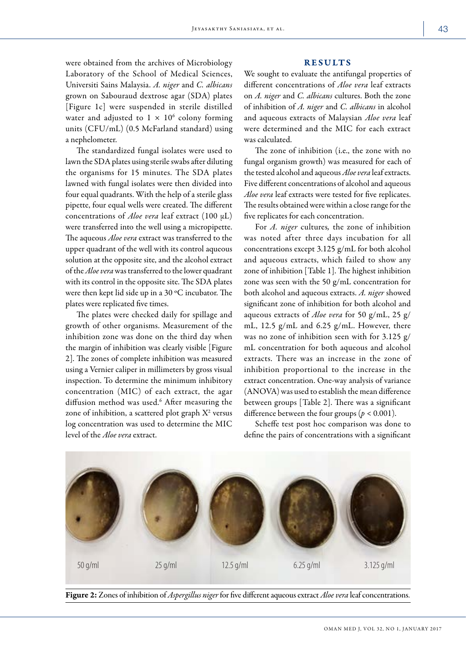were obtained from the archives of Microbiology Laboratory of the School of Medical Sciences, Universiti Sains Malaysia. *A. niger* and *C. albicans* grown on Sabouraud dextrose agar (SDA) plates [Figure 1c] were suspended in sterile distilled water and adjusted to  $1 \times 10^6$  colony forming units (CFU/mL) (0.5 McFarland standard) using a nephelometer.

The standardized fungal isolates were used to lawn the SDA plates using sterile swabs after diluting the organisms for 15 minutes. The SDA plates lawned with fungal isolates were then divided into four equal quadrants. With the help of a sterile glass pipette, four equal wells were created. The different concentrations of *Aloe vera* leaf extract (100 µL) were transferred into the well using a micropipette. The aqueous *Aloe vera* extract was transferred to the upper quadrant of the well with its control aqueous solution at the opposite site, and the alcohol extract of the *Aloe vera* was transferred to the lower quadrant with its control in the opposite site. The SDA plates were then kept lid side up in a 30 ºC incubator. The plates were replicated five times.

The plates were checked daily for spillage and growth of other organisms. Measurement of the inhibition zone was done on the third day when the margin of inhibition was clearly visible [Figure 2]. The zones of complete inhibition was measured using a Vernier caliper in millimeters by gross visual inspection. To determine the minimum inhibitory concentration (MIC) of each extract, the agar diffusion method was used.<sup>6</sup> After measuring the zone of inhibition, a scattered plot graph  $X^2$  versus log concentration was used to determine the MIC level of the *Aloe vera* extract.

#### RESULTS

We sought to evaluate the antifungal properties of different concentrations of *Aloe vera* leaf extracts on *A. niger* and *C. albicans* cultures. Both the zone of inhibition of *A. niger* and *C. albicans* in alcohol and aqueous extracts of Malaysian *Aloe vera* leaf were determined and the MIC for each extract was calculated.

The zone of inhibition (i.e., the zone with no fungal organism growth) was measured for each of the tested alcohol and aqueous *Aloe vera* leaf extracts. Five different concentrations of alcohol and aqueous *Aloe vera* leaf extracts were tested for five replicates. The results obtained were within a close range for the five replicates for each concentration.

For *A. niger* cultures*,* the zone of inhibition was noted after three days incubation for all concentrations except 3.125 g/mL for both alcohol and aqueous extracts, which failed to show any zone of inhibition [Table 1]. The highest inhibition zone was seen with the 50 g/mL concentration for both alcohol and aqueous extracts. *A. niger* showed significant zone of inhibition for both alcohol and aqueous extracts of *Aloe vera* for 50 g/mL, 25 g/ mL, 12.5 g/mL and 6.25 g/mL. However, there was no zone of inhibition seen with for 3.125 g/ mL concentration for both aqueous and alcohol extracts. There was an increase in the zone of inhibition proportional to the increase in the extract concentration. One-way analysis of variance (ANOVA) was used to establish the mean difference between groups [Table 2]. There was a significant difference between the four groups ( $p < 0.001$ ).

Scheffe test post hoc comparison was done to define the pairs of concentrations with a significant



Figure 2: Zones of inhibition of *Aspergillus niger* for five different aqueous extract *Aloe vera* leaf concentrations.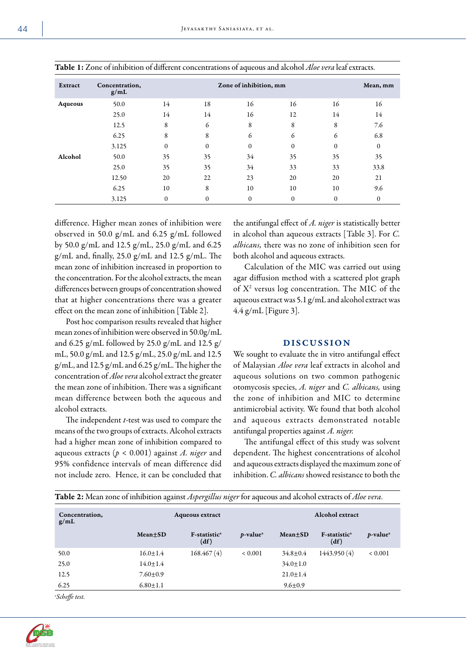|         |                        |                        |              | $\ddot{\phantom{1}}$ |              |          |                  |
|---------|------------------------|------------------------|--------------|----------------------|--------------|----------|------------------|
| Extract | Concentration,<br>g/mL | Zone of inhibition, mm |              |                      |              |          | Mean, mm         |
| Aqueous | 50.0                   | 14                     | 18           | 16                   | 16           | 16       | 16               |
|         | 25.0                   | 14                     | 14           | 16                   | 12           | 14       | 14               |
|         | 12.5                   | 8                      | 6            | 8                    | 8            | 8        | 7.6              |
|         | 6.25                   | 8                      | 8            | 6                    | 6            | 6        | 6.8              |
|         | 3.125                  | $\Omega$               | $\Omega$     | $\mathbf{0}$         | $\Omega$     | $\Omega$ | $\mathbf{0}$     |
| Alcohol | 50.0                   | 35                     | 35           | 34                   | 35           | 35       | 35               |
|         | 25.0                   | 35                     | 35           | 34                   | 33           | 33       | 33.8             |
|         | 12.50                  | 20                     | 22           | 23                   | 20           | 20       | 21               |
|         | 6.25                   | 10                     | 8            | 10                   | 10           | 10       | 9.6              |
|         | 3.125                  | $\mathbf{0}$           | $\mathbf{0}$ | $\boldsymbol{0}$     | $\mathbf{0}$ | $\theta$ | $\boldsymbol{0}$ |

| <b>Table 1:</b> Zone of inhibition of different concentrations of aqueous and alcohol <i>Aloe vera</i> leaf extracts. |  |
|-----------------------------------------------------------------------------------------------------------------------|--|
|-----------------------------------------------------------------------------------------------------------------------|--|

difference. Higher mean zones of inhibition were observed in 50.0 g/mL and 6.25 g/mL followed by 50.0 g/mL and 12.5 g/mL, 25.0 g/mL and 6.25 g/mL and, finally, 25.0 g/mL and 12.5 g/mL. The mean zone of inhibition increased in proportion to the concentration. For the alcohol extracts, the mean differences between groups of concentration showed that at higher concentrations there was a greater effect on the mean zone of inhibition [Table 2].

Post hoc comparison results revealed that higher mean zones of inhibition were observed in 50.0g/mL and 6.25 g/mL followed by 25.0 g/mL and 12.5 g/ mL, 50.0 g/mL and 12.5 g/mL, 25.0 g/mL and 12.5 g/mL, and 12.5 g/mL and 6.25 g/mL. The higher the concentration of *Aloe vera* alcohol extract the greater the mean zone of inhibition. There was a significant mean difference between both the aqueous and alcohol extracts.

The independent *t*-test was used to compare the means of the two groups of extracts. Alcohol extracts had a higher mean zone of inhibition compared to aqueous extracts (*p* < 0.001) against *A. niger* and 95% confidence intervals of mean difference did not include zero. Hence, it can be concluded that

the antifungal effect of *A. niger* is statistically better in alcohol than aqueous extracts [Table 3]. For *C. albicans,* there was no zone of inhibition seen for both alcohol and aqueous extracts.

Calculation of the MIC was carried out using agar diffusion method with a scattered plot graph of X2 versus log concentration. The MIC of the aqueous extract was 5.1 g/mL and alcohol extract was 4.4 g/mL [Figure 3].

#### DISCUSSION

We sought to evaluate the in vitro antifungal effect of Malaysian *Aloe vera* leaf extracts in alcohol and aqueous solutions on two common pathogenic otomycosis species, *A. niger* and *C. albicans,* using the zone of inhibition and MIC to determine antimicrobial activity. We found that both alcohol and aqueous extracts demonstrated notable antifungal properties against *A. niger.*

The antifungal effect of this study was solvent dependent. The highest concentrations of alcohol and aqueous extracts displayed the maximum zone of inhibition. *C. albicans* showed resistance to both the

| Concentration,<br>g/mL |                | <b>Aqueous extract</b>           |                         |                | <b>Alcohol</b> extract           |                         |  |
|------------------------|----------------|----------------------------------|-------------------------|----------------|----------------------------------|-------------------------|--|
|                        | Mean+SD        | F-statistic <sup>a</sup><br>(df) | $p$ -value <sup>a</sup> | Mean+SD        | F-statistic <sup>a</sup><br>(df) | $p$ -value <sup>a</sup> |  |
| 50.0                   | $16.0 + 1.4$   | 168.467(4)                       | ${}< 0.001$             | $34.8 \pm 0.4$ | 1443.950 (4)                     | ${}< 0.001$             |  |
| 25.0                   | $14.0 + 1.4$   |                                  |                         | $34.0 \pm 1.0$ |                                  |                         |  |
| 12.5                   | $7.60 \pm 0.9$ |                                  |                         | $21.0 \pm 1.4$ |                                  |                         |  |
| 6.25                   | $6.80 + 1.1$   |                                  |                         | $9.6 \pm 0.9$  |                                  |                         |  |

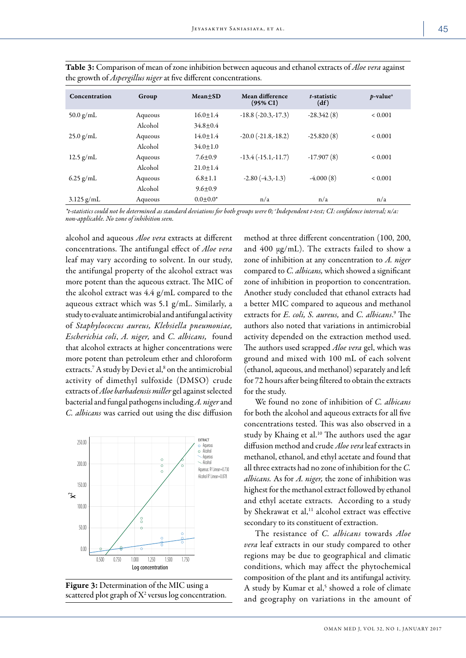| Concentration | Group   | $Mean \pm SD$  | Mean difference<br>$(95\% \text{ CI})$ | t-statistic<br>(df) | $p$ -value <sup>a</sup> |
|---------------|---------|----------------|----------------------------------------|---------------------|-------------------------|
| 50.0 $g/mL$   | Aqueous | $16.0 + 1.4$   | $-18.8$ ( $-20.3, -17.3$ )             | $-28.342(8)$        | ${}< 0.001$             |
|               | Alcohol | $34.8 \pm 0.4$ |                                        |                     |                         |
| $25.0$ g/mL   | Aqueous | $14.0 + 1.4$   | $-20.0$ $(-21.8,-18.2)$                | $-25.820(8)$        | ${}_{0.001}$            |
|               | Alcohol | $34.0 \pm 1.0$ |                                        |                     |                         |
| $12.5$ g/mL   | Aqueous | $7.6 \pm 0.9$  | $-13.4$ $(-15.1,-11.7)$                | $-17.907(8)$        | ${}< 0.001$             |
|               | Alcohol | $21.0 + 1.4$   |                                        |                     |                         |
| $6.25$ g/mL   | Aqueous | $6.8 + 1.1$    | $-2.80(-4.3,-1.3)$                     | $-4.000(8)$         | ${}< 0.001$             |
|               | Alcohol | $9.6 \pm 0.9$  |                                        |                     |                         |
| $3.125$ g/mL  | Aqueous | $0.0 + 0.0*$   | n/a                                    | n/a                 | n/a                     |

Table 3: Comparison of mean of zone inhibition between aqueous and ethanol extracts of *Aloe vera* against the growth of *Aspergillus niger* at five different concentrations.

*\*t-statistics could not be determined as standard deviations for both groups were 0; <sup>a</sup> Independent t-test; CI: confidence interval; n/a: non-applicable. No zone of inhibition seen.*

alcohol and aqueous *Aloe vera* extracts at different concentrations. The antifungal effect of *Aloe vera* leaf may vary according to solvent. In our study, the antifungal property of the alcohol extract was more potent than the aqueous extract. The MIC of the alcohol extract was 4.4 g/mL compared to the aqueous extract which was 5.1 g/mL. Similarly, a study to evaluate antimicrobial and antifungal activity of *Staphylococcus aureus, Klebsiella pneumoniae, Escherichia coli*, *A. niger,* and *C. albicans,* found that alcohol extracts at higher concentrations were more potent than petroleum ether and chloroform extracts.<sup>7</sup> A study by Devi et al,<sup>8</sup> on the antimicrobial activity of dimethyl sulfoxide (DMSO) crude extracts of *Aloe barbadensis miller* gel against selected bacterial and fungal pathogens including *A. niger* and *C. albicans* was carried out using the disc diffusion





method at three different concentration (100, 200, and 400 µg/mL). The extracts failed to show a zone of inhibition at any concentration to *A. niger* compared to *C. albicans,* which showed a significant zone of inhibition in proportion to concentration. Another study concluded that ethanol extracts had a better MIC compared to aqueous and methanol extracts for *E. coli, S. aureus,* and *C. albicans*. 9 The authors also noted that variations in antimicrobial activity depended on the extraction method used. The authors used scrapped *Aloe vera* gel, which was ground and mixed with 100 mL of each solvent (ethanol, aqueous, and methanol) separately and left for 72 hours after being filtered to obtain the extracts for the study.

We found no zone of inhibition of *C. albicans* for both the alcohol and aqueous extracts for all five concentrations tested. This was also observed in a study by Khaing et al.<sup>10</sup> The authors used the agar diffusion method and crude *Aloe vera* leaf extracts in methanol, ethanol, and ethyl acetate and found that all three extracts had no zone of inhibition for the *C. albicans.* As for *A. niger,* the zone of inhibition was highest for the methanol extract followed by ethanol and ethyl acetate extracts. According to a study by Shekrawat et al,<sup>11</sup> alcohol extract was effective secondary to its constituent of extraction.

The resistance of *C. albicans* towards *Aloe vera* leaf extracts in our study compared to other regions may be due to geographical and climatic conditions, which may affect the phytochemical composition of the plant and its antifungal activity. A study by Kumar et al,<sup>5</sup> showed a role of climate and geography on variations in the amount of